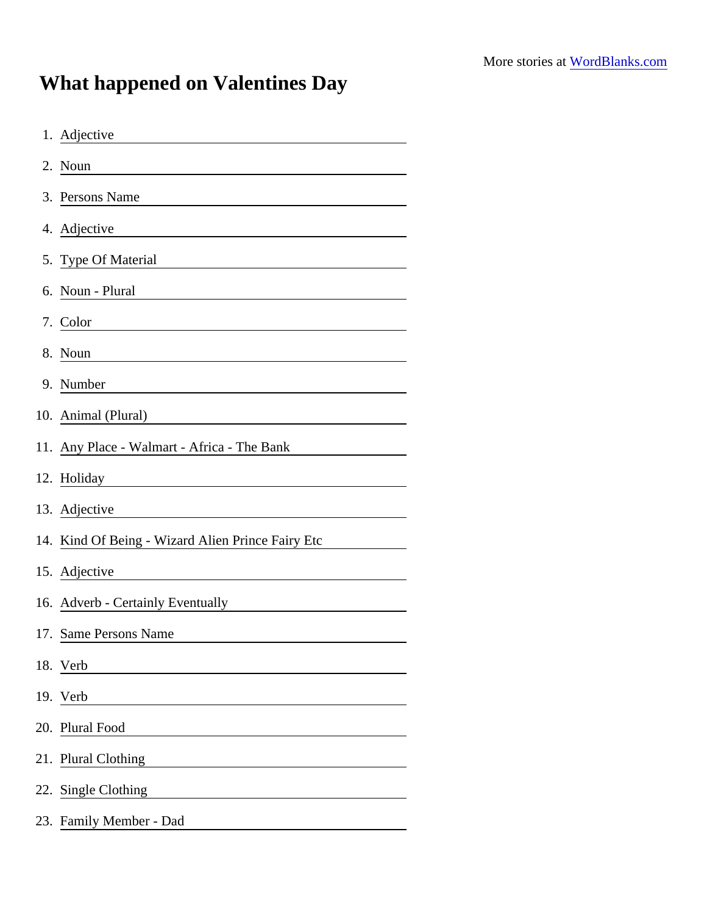## What happened on Valentines Day

| 1. Adjective                                                                                                                          |
|---------------------------------------------------------------------------------------------------------------------------------------|
| 2. Noun<br><u> 1980 - Johann Barn, mars eta bainar eta baina eta baina eta baina eta baina eta baina eta baina eta baina e</u>        |
| 3. Persons Name                                                                                                                       |
| 4. Adjective                                                                                                                          |
| 5. Type Of Material                                                                                                                   |
| 6. Noun - Plural<br><u> 1980 - Andrea Andrew Maria (h. 1980).</u>                                                                     |
| 7. Color                                                                                                                              |
| 8. Noun                                                                                                                               |
| 9. Number                                                                                                                             |
|                                                                                                                                       |
| 11. Any Place - Walmart - Africa - The Bank                                                                                           |
| 12. Holiday and the state of the state of the state of the state of the state of the state of the state of the                        |
| 13. Adjective<br><u> 1980 - Jan Stein Stein Stein Stein Stein Stein Stein Stein Stein Stein Stein Stein Stein Stein Stein Stein S</u> |
| 14. Kind Of Being - Wizard Alien Prince Fairy Etc                                                                                     |
| 15. Adjective<br><u> 1990 - Jan Barbara Barat, prima politik (</u>                                                                    |
| 16. Adverb - Certainly Eventually [16]                                                                                                |
| 17. Same Persons Name                                                                                                                 |
| 18. Verb                                                                                                                              |
| 19. Verb                                                                                                                              |
| 20. Plural Food                                                                                                                       |
| 21. Plural Clothing                                                                                                                   |
| 22. Single Clothing                                                                                                                   |
| 23. Family Member - Dad                                                                                                               |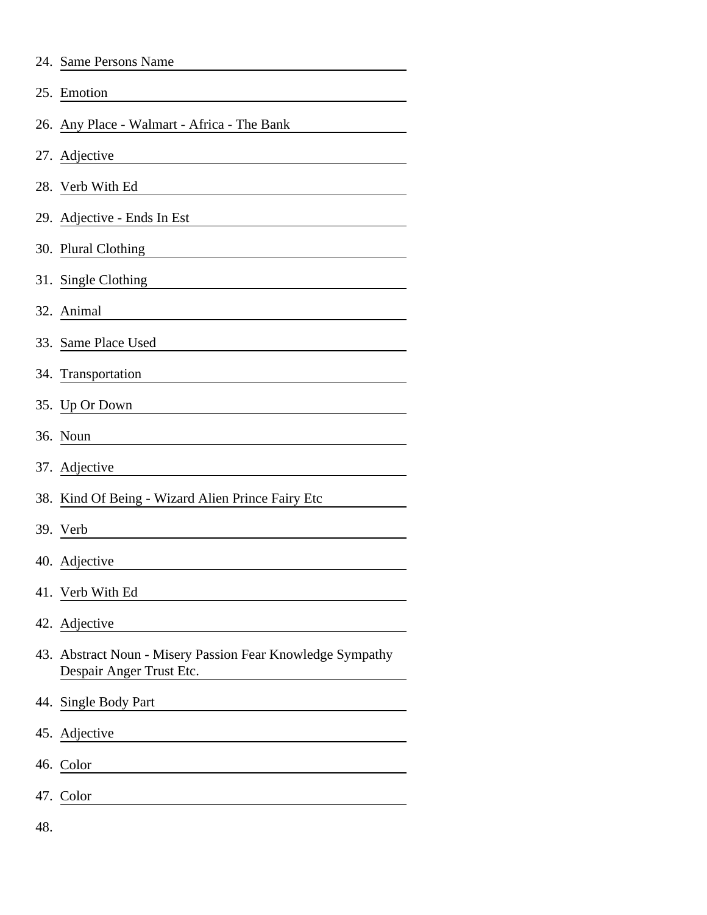|     | 24. Same Persons Name                                                                  |
|-----|----------------------------------------------------------------------------------------|
|     | 25. Emotion                                                                            |
|     | 26. Any Place - Walmart - Africa - The Bank                                            |
|     | 27. Adjective                                                                          |
|     | 28. Verb With Ed                                                                       |
|     | 29. Adjective - Ends In Est                                                            |
|     | 30. Plural Clothing                                                                    |
|     | 31. Single Clothing                                                                    |
|     | 32. Animal                                                                             |
|     | 33. Same Place Used                                                                    |
|     | 34. Transportation                                                                     |
|     | 35. Up Or Down                                                                         |
|     | 36. Noun                                                                               |
|     | 37. Adjective                                                                          |
|     | 38. Kind Of Being - Wizard Alien Prince Fairy Etc                                      |
|     | 39. Verb                                                                               |
|     | 40. Adjective                                                                          |
|     | 41. Verb With Ed                                                                       |
|     | 42. Adjective                                                                          |
|     | 43. Abstract Noun - Misery Passion Fear Knowledge Sympathy<br>Despair Anger Trust Etc. |
|     | 44. Single Body Part                                                                   |
|     | 45. Adjective                                                                          |
|     | 46. Color                                                                              |
|     | 47. Color                                                                              |
| 48. |                                                                                        |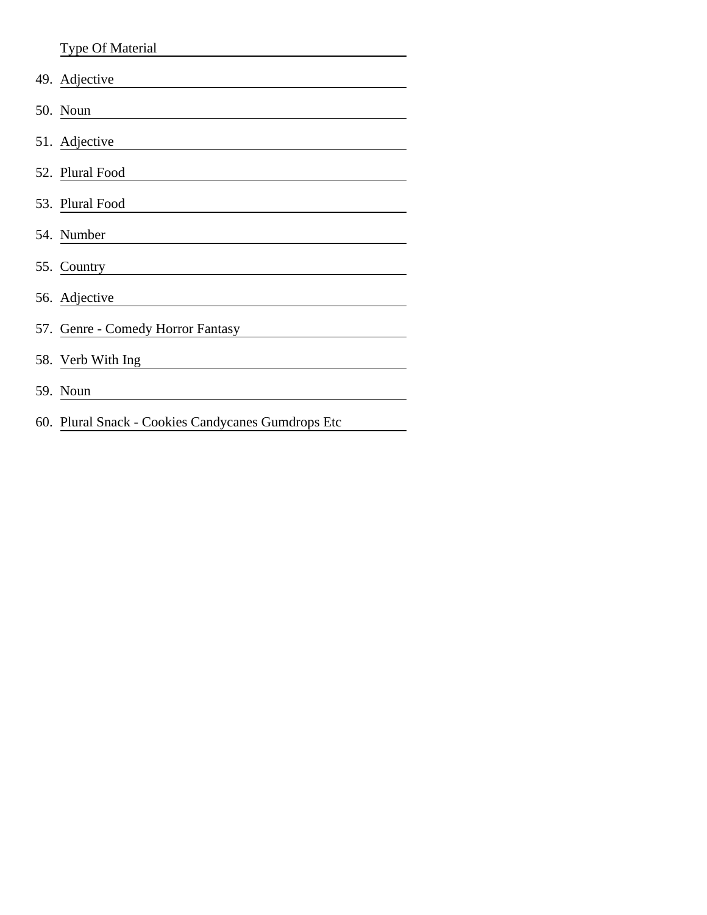## Type Of Material

| 49. Adjective                                      |
|----------------------------------------------------|
| 50. Noun                                           |
| 51. Adjective                                      |
| 52. Plural Food                                    |
| 53. Plural Food                                    |
| 54. Number                                         |
| 55. Country                                        |
| 56. Adjective                                      |
| 57. Genre - Comedy Horror Fantasy                  |
| 58. Verb With Ing                                  |
| 59. Noun                                           |
| 60. Plural Snack - Cookies Candycanes Gumdrops Etc |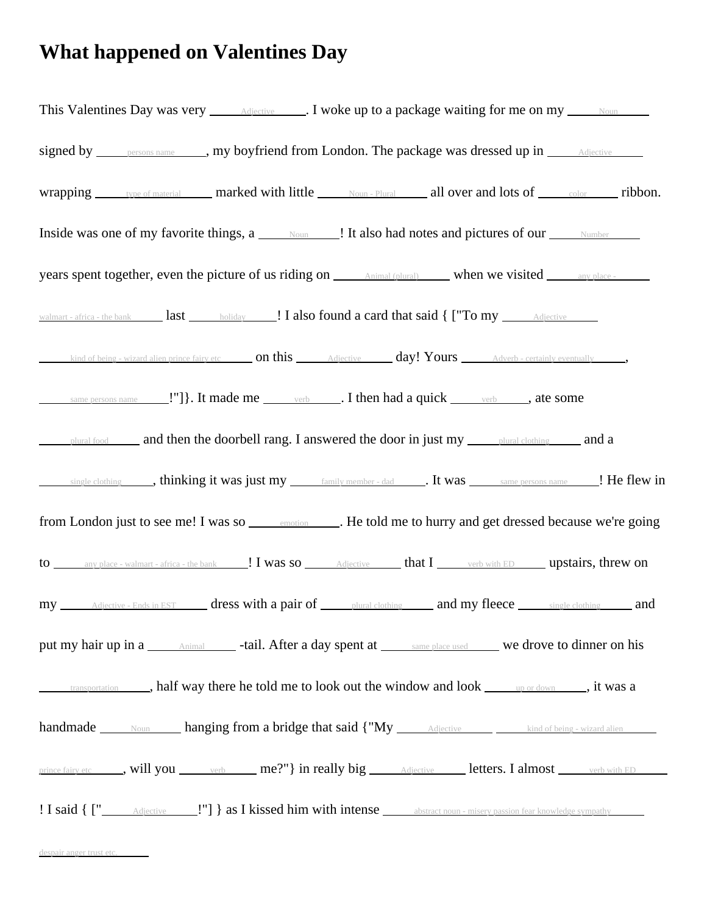## **What happened on Valentines Day**